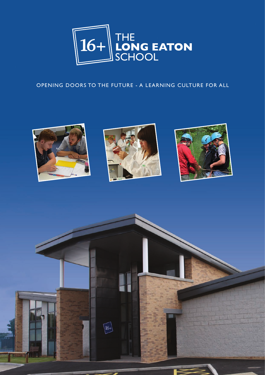

# OPENING DOORS TO THE FUTURE - A LEARNING CULTURE FOR ALL







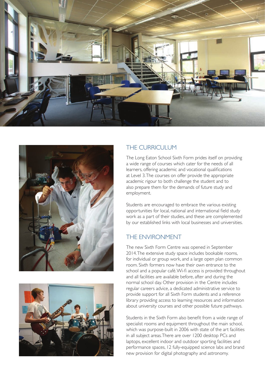





# THE CURRICULUM

The Long Eaton School Sixth Form prides itself on providing a wide range of courses which cater for the needs of all learners, offering academic and vocational qualifications at Level 3. The courses on offer provide the appropriate academic rigour to both challenge the student and to also prepare them for the demands of future study and employment.

Students are encouraged to embrace the various existing opportunities for local, national and international field study work as a part of their studies, and these are complemented by our established links with local businesses and universities.

# THE ENVIRONMENT

The new Sixth Form Centre was opened in September 2014. The extensive study space includes bookable rooms, for individual or group work, and a large open plan common room. Sixth formers now have their own entrance to the school and a popular café. Wi-fi access is provided throughout and all facilities are available before, after and during the normal school day. Other provision in the Centre includes regular careers advice, a dedicated administrative service to provide support for all Sixth Form students and a reference library providing access to learning resources and information about university courses and other possible future pathways.

Students in the Sixth Form also benefit from a wide range of specialist rooms and equipment throughout the main school, which was purpose-built in 2006 with state of the art facilities in all subject areas. There are over 1200 desktop PCs and laptops, excellent indoor and outdoor sporting facilities and performance spaces, 12 fully-equipped science labs and brand new provision for digital photography and astronomy.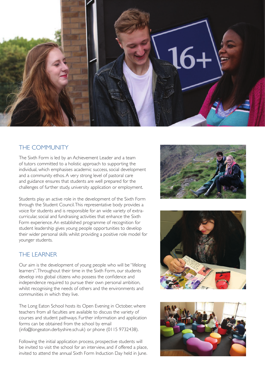

# THE COMMUNITY

The Sixth Form is led by an Achievement Leader and a team of tutors committed to a holistic approach to supporting the individual, which emphasises academic success, social development and a community ethos. A very strong level of pastoral care and guidance ensures that students are well prepared for the challenges of further study, university application or employment.

Students play an active role in the development of the Sixth Form through the Student Council. This representative body provides a voice for students and is responsible for an wide variety of extracurricular, social and fundraising activities that enhance the Sixth Form experience. An established programme of recognition for student leadership gives young people opportunities to develop their wider personal skills whilst providing a positive role model for younger students.

### THE LEARNER

Our aim is the development of young people who will be "lifelong learners". Throughout their time in the Sixth Form, our students develop into global citizens who possess the confidence and independence required to pursue their own personal ambition, whilst recognising the needs of others and the environments and communities in which they live.

The Long Eaton School hosts its Open Evening in October, where teachers from all faculties are available to discuss the variety of courses and student pathways. Further information and application forms can be obtained from the school by email (info@longeaton.derbyshire.sch.uk) or phone (0115 9732438).

Following the initial application process, prospective students will be invited to visit the school for an interview, and if offered a place, invited to attend the annual Sixth Form Induction Day held in June.